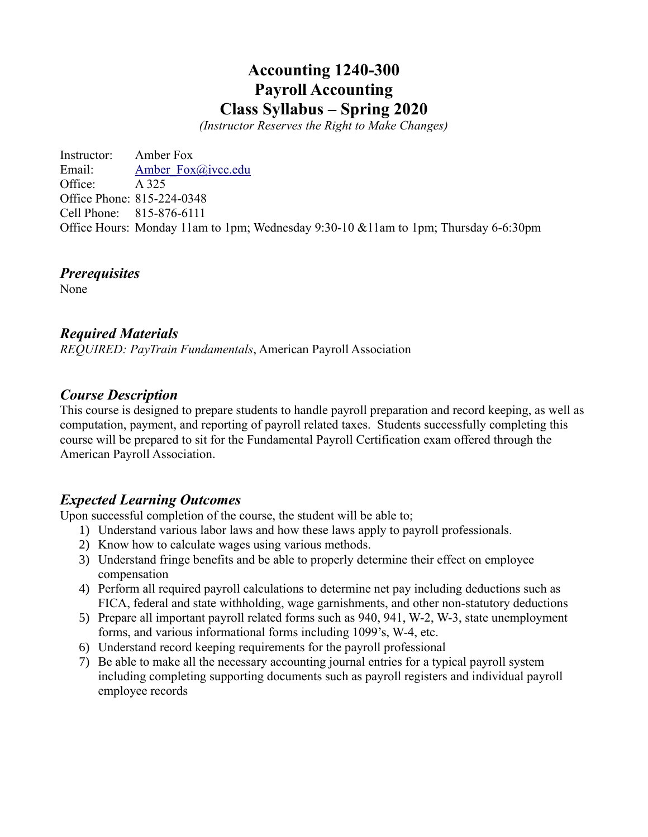# **Accounting 1240-300 Payroll Accounting Class Syllabus – Spring 2020**

*(Instructor Reserves the Right to Make Changes)*

Instructor: Amber Fox Email: Amber Fox@ivcc.edu Office: A 325 Office Phone: 815-224-0348 Cell Phone: 815-876-6111 Office Hours: Monday 11am to 1pm; Wednesday 9:30-10 &11am to 1pm; Thursday 6-6:30pm

### *Prerequisites*

None

### *Required Materials*

*REQUIRED: PayTrain Fundamentals*, American Payroll Association

### *Course Description*

This course is designed to prepare students to handle payroll preparation and record keeping, as well as computation, payment, and reporting of payroll related taxes. Students successfully completing this course will be prepared to sit for the Fundamental Payroll Certification exam offered through the American Payroll Association.

# *Expected Learning Outcomes*

Upon successful completion of the course, the student will be able to;

- 1) Understand various labor laws and how these laws apply to payroll professionals.
- 2) Know how to calculate wages using various methods.
- 3) Understand fringe benefits and be able to properly determine their effect on employee compensation
- 4) Perform all required payroll calculations to determine net pay including deductions such as FICA, federal and state withholding, wage garnishments, and other non-statutory deductions
- 5) Prepare all important payroll related forms such as 940, 941, W-2, W-3, state unemployment forms, and various informational forms including 1099's, W-4, etc.
- 6) Understand record keeping requirements for the payroll professional
- 7) Be able to make all the necessary accounting journal entries for a typical payroll system including completing supporting documents such as payroll registers and individual payroll employee records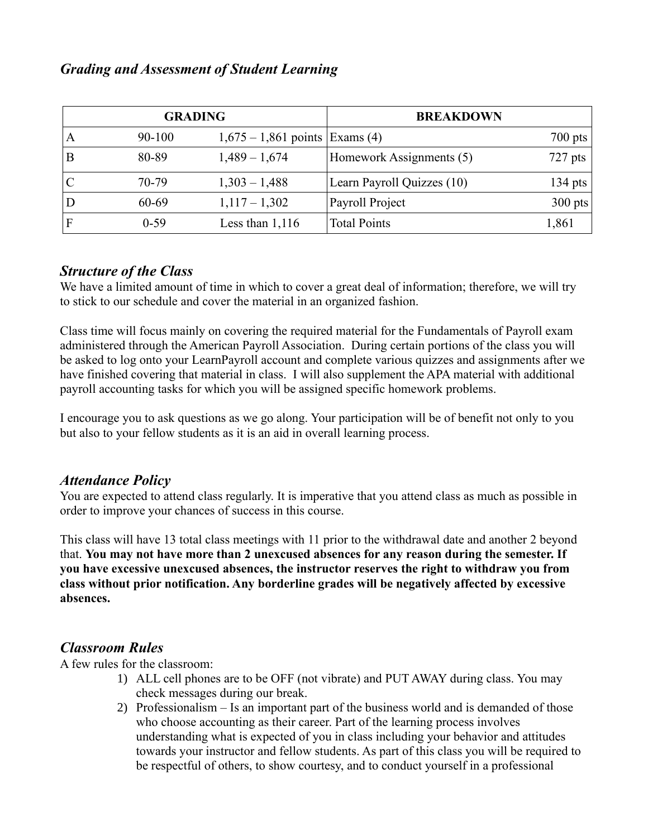### *Grading and Assessment of Student Learning*

|   | <b>GRADING</b> |                                  | <b>BREAKDOWN</b>           |           |
|---|----------------|----------------------------------|----------------------------|-----------|
| A | $90 - 100$     | $1,675 - 1,861$ points Exams (4) |                            | $700$ pts |
| В | 80-89          | $1,489 - 1,674$                  | Homework Assignments (5)   | $727$ pts |
|   | 70-79          | $1,303 - 1,488$                  | Learn Payroll Quizzes (10) | 134 pts   |
| D | 60-69          | $1,117-1,302$                    | Payroll Project            | $300$ pts |
| F | $0-59$         | Less than $1,116$                | <b>Total Points</b>        | 1,861     |

### *Structure of the Class*

We have a limited amount of time in which to cover a great deal of information; therefore, we will try to stick to our schedule and cover the material in an organized fashion.

Class time will focus mainly on covering the required material for the Fundamentals of Payroll exam administered through the American Payroll Association. During certain portions of the class you will be asked to log onto your LearnPayroll account and complete various quizzes and assignments after we have finished covering that material in class. I will also supplement the APA material with additional payroll accounting tasks for which you will be assigned specific homework problems.

I encourage you to ask questions as we go along. Your participation will be of benefit not only to you but also to your fellow students as it is an aid in overall learning process.

### *Attendance Policy*

You are expected to attend class regularly. It is imperative that you attend class as much as possible in order to improve your chances of success in this course.

This class will have 13 total class meetings with 11 prior to the withdrawal date and another 2 beyond that. **You may not have more than 2 unexcused absences for any reason during the semester. If you have excessive unexcused absences, the instructor reserves the right to withdraw you from class without prior notification. Any borderline grades will be negatively affected by excessive absences.**

### *Classroom Rules*

A few rules for the classroom:

- 1) ALL cell phones are to be OFF (not vibrate) and PUT AWAY during class. You may check messages during our break.
- 2) Professionalism Is an important part of the business world and is demanded of those who choose accounting as their career. Part of the learning process involves understanding what is expected of you in class including your behavior and attitudes towards your instructor and fellow students. As part of this class you will be required to be respectful of others, to show courtesy, and to conduct yourself in a professional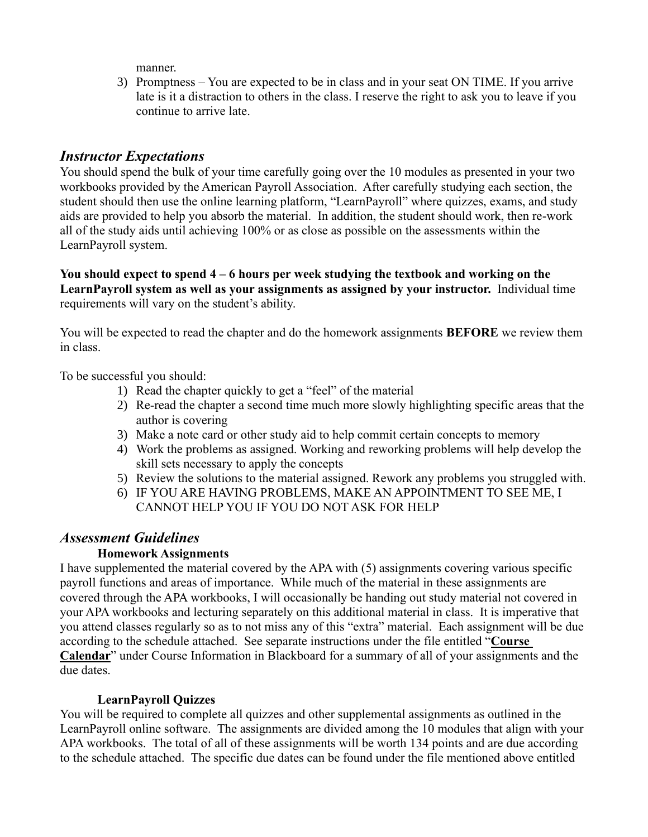manner.

3) Promptness – You are expected to be in class and in your seat ON TIME. If you arrive late is it a distraction to others in the class. I reserve the right to ask you to leave if you continue to arrive late.

### *Instructor Expectations*

You should spend the bulk of your time carefully going over the 10 modules as presented in your two workbooks provided by the American Payroll Association. After carefully studying each section, the student should then use the online learning platform, "LearnPayroll" where quizzes, exams, and study aids are provided to help you absorb the material. In addition, the student should work, then re-work all of the study aids until achieving 100% or as close as possible on the assessments within the LearnPayroll system.

**You should expect to spend 4 – 6 hours per week studying the textbook and working on the LearnPayroll system as well as your assignments as assigned by your instructor.** Individual time requirements will vary on the student's ability.

You will be expected to read the chapter and do the homework assignments **BEFORE** we review them in class.

To be successful you should:

- 1) Read the chapter quickly to get a "feel" of the material
- 2) Re-read the chapter a second time much more slowly highlighting specific areas that the author is covering
- 3) Make a note card or other study aid to help commit certain concepts to memory
- 4) Work the problems as assigned. Working and reworking problems will help develop the skill sets necessary to apply the concepts
- 5) Review the solutions to the material assigned. Rework any problems you struggled with.
- 6) IF YOU ARE HAVING PROBLEMS, MAKE AN APPOINTMENT TO SEE ME, I CANNOT HELP YOU IF YOU DO NOT ASK FOR HELP

### *Assessment Guidelines*

#### **Homework Assignments**

I have supplemented the material covered by the APA with (5) assignments covering various specific payroll functions and areas of importance. While much of the material in these assignments are covered through the APA workbooks, I will occasionally be handing out study material not covered in your APA workbooks and lecturing separately on this additional material in class. It is imperative that you attend classes regularly so as to not miss any of this "extra" material. Each assignment will be due according to the schedule attached. See separate instructions under the file entitled "**Course Calendar**" under Course Information in Blackboard for a summary of all of your assignments and the due dates.

#### **LearnPayroll Quizzes**

You will be required to complete all quizzes and other supplemental assignments as outlined in the LearnPayroll online software. The assignments are divided among the 10 modules that align with your APA workbooks. The total of all of these assignments will be worth 134 points and are due according to the schedule attached. The specific due dates can be found under the file mentioned above entitled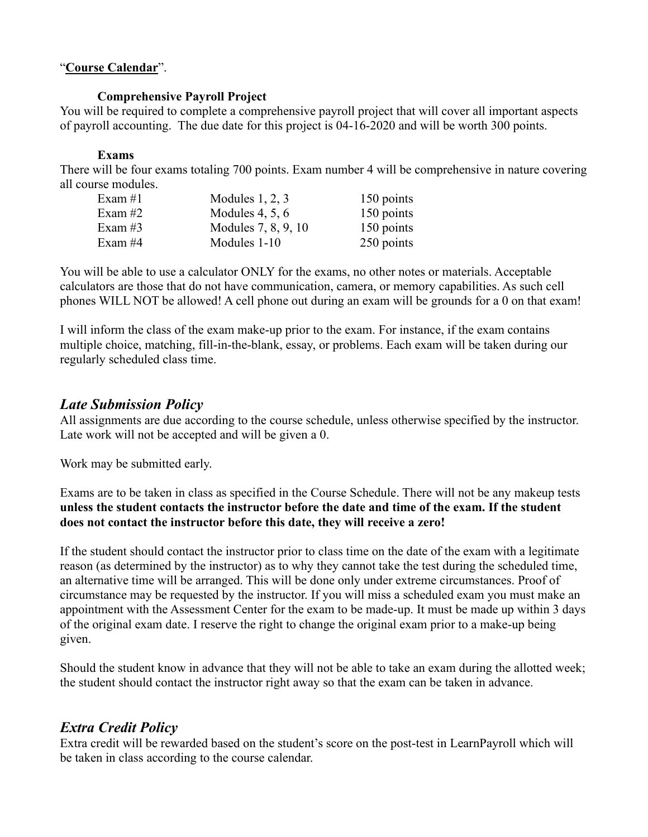#### "**Course Calendar**".

#### **Comprehensive Payroll Project**

You will be required to complete a comprehensive payroll project that will cover all important aspects of payroll accounting. The due date for this project is 04-16-2020 and will be worth 300 points.

#### **Exams**

There will be four exams totaling 700 points. Exam number 4 will be comprehensive in nature covering all course modules.

| Exam #1   | Modules $1, 2, 3$   | 150 points |
|-----------|---------------------|------------|
| Exam $#2$ | Modules $4, 5, 6$   | 150 points |
| Exam $#3$ | Modules 7, 8, 9, 10 | 150 points |
| Exam $#4$ | Modules 1-10        | 250 points |

You will be able to use a calculator ONLY for the exams, no other notes or materials. Acceptable calculators are those that do not have communication, camera, or memory capabilities. As such cell phones WILL NOT be allowed! A cell phone out during an exam will be grounds for a 0 on that exam!

I will inform the class of the exam make-up prior to the exam. For instance, if the exam contains multiple choice, matching, fill-in-the-blank, essay, or problems. Each exam will be taken during our regularly scheduled class time.

### *Late Submission Policy*

All assignments are due according to the course schedule, unless otherwise specified by the instructor. Late work will not be accepted and will be given a 0.

Work may be submitted early.

Exams are to be taken in class as specified in the Course Schedule. There will not be any makeup tests **unless the student contacts the instructor before the date and time of the exam. If the student does not contact the instructor before this date, they will receive a zero!** 

If the student should contact the instructor prior to class time on the date of the exam with a legitimate reason (as determined by the instructor) as to why they cannot take the test during the scheduled time, an alternative time will be arranged. This will be done only under extreme circumstances. Proof of circumstance may be requested by the instructor. If you will miss a scheduled exam you must make an appointment with the Assessment Center for the exam to be made-up. It must be made up within 3 days of the original exam date. I reserve the right to change the original exam prior to a make-up being given.

Should the student know in advance that they will not be able to take an exam during the allotted week; the student should contact the instructor right away so that the exam can be taken in advance.

# *Extra Credit Policy*

Extra credit will be rewarded based on the student's score on the post-test in LearnPayroll which will be taken in class according to the course calendar.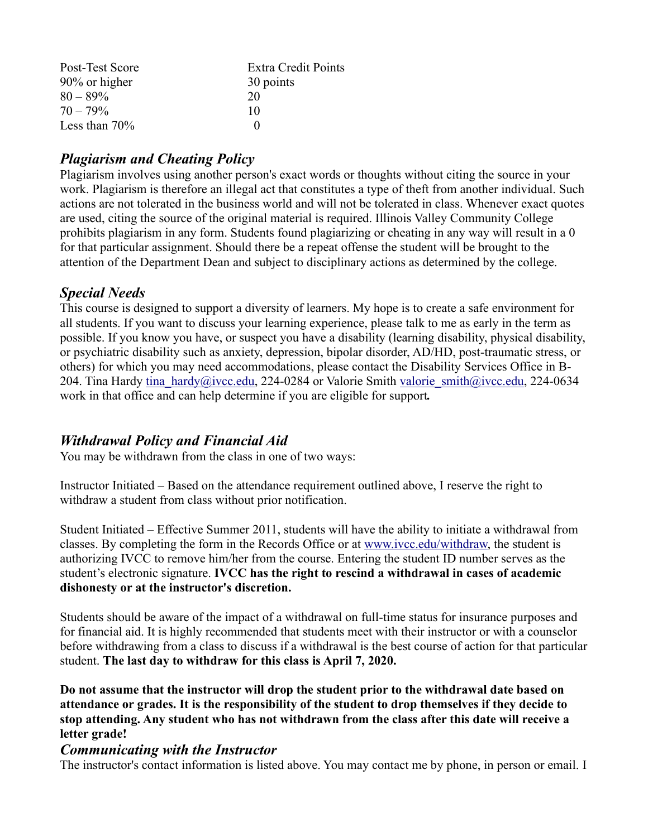| Post-Test Score  | Extra Credit Points |
|------------------|---------------------|
| 90% or higher    | 30 points           |
| $80 - 89\%$      | 20                  |
| $70 - 79\%$      | 10                  |
| Less than $70\%$ |                     |

# *Plagiarism and Cheating Policy*

Plagiarism involves using another person's exact words or thoughts without citing the source in your work. Plagiarism is therefore an illegal act that constitutes a type of theft from another individual. Such actions are not tolerated in the business world and will not be tolerated in class. Whenever exact quotes are used, citing the source of the original material is required. Illinois Valley Community College prohibits plagiarism in any form. Students found plagiarizing or cheating in any way will result in a 0 for that particular assignment. Should there be a repeat offense the student will be brought to the attention of the Department Dean and subject to disciplinary actions as determined by the college.

### *Special Needs*

This course is designed to support a diversity of learners. My hope is to create a safe environment for all students. If you want to discuss your learning experience, please talk to me as early in the term as possible. If you know you have, or suspect you have a disability (learning disability, physical disability, or psychiatric disability such as anxiety, depression, bipolar disorder, AD/HD, post-traumatic stress, or others) for which you may need accommodations, please contact the Disability Services Office in B204. Tina Hardy [tina\\_hardy@ivcc.edu,](mailto:tina_hardy@ivcc.edu) 224-0284 or Valorie Smith valorie smith@ivcc.edu, 224-0634 work in that office and can help determine if you are eligible for support*.*

### *Withdrawal Policy and Financial Aid*

You may be withdrawn from the class in one of two ways:

Instructor Initiated – Based on the attendance requirement outlined above, I reserve the right to withdraw a student from class without prior notification.

Student Initiated – Effective Summer 2011, students will have the ability to initiate a withdrawal from classes. By completing the form in the Records Office or at [www.ivcc.edu/withdraw,](http://www.ivcc.edu/withdraw) the student is authorizing IVCC to remove him/her from the course. Entering the student ID number serves as the student's electronic signature. **IVCC has the right to rescind a withdrawal in cases of academic dishonesty or at the instructor's discretion.**

Students should be aware of the impact of a withdrawal on full-time status for insurance purposes and for financial aid. It is highly recommended that students meet with their instructor or with a counselor before withdrawing from a class to discuss if a withdrawal is the best course of action for that particular student. **The last day to withdraw for this class is April 7, 2020.** 

**Do not assume that the instructor will drop the student prior to the withdrawal date based on attendance or grades. It is the responsibility of the student to drop themselves if they decide to stop attending. Any student who has not withdrawn from the class after this date will receive a letter grade!**

#### *Communicating with the Instructor*

The instructor's contact information is listed above. You may contact me by phone, in person or email. I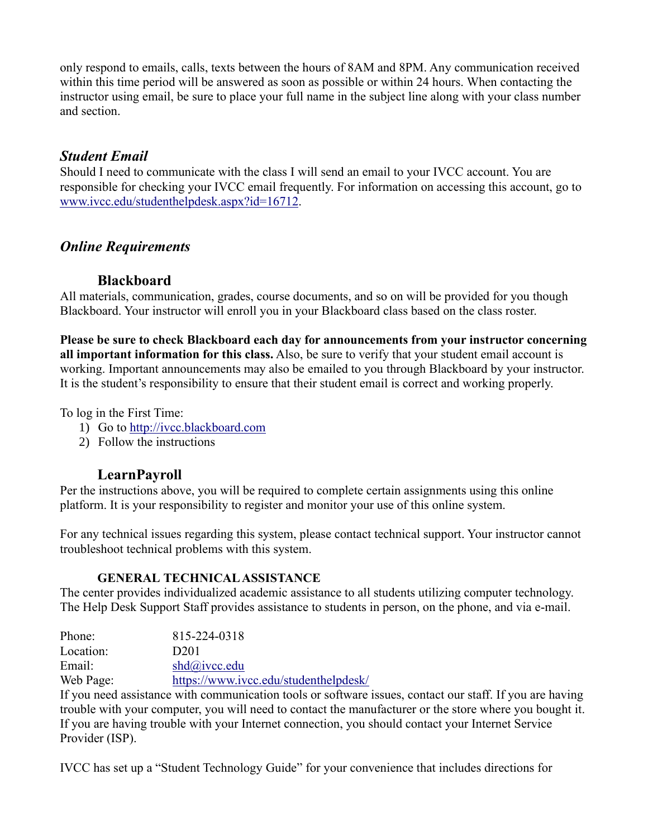only respond to emails, calls, texts between the hours of 8AM and 8PM. Any communication received within this time period will be answered as soon as possible or within 24 hours. When contacting the instructor using email, be sure to place your full name in the subject line along with your class number and section.

# *Student Email*

Should I need to communicate with the class I will send an email to your IVCC account. You are responsible for checking your IVCC email frequently. For information on accessing this account, go to [www.ivcc.edu/studenthelpdesk.aspx?id=16712.](http://www.ivcc.edu/studenthelpdesk.aspx?id=16712)

# *Online Requirements*

### **Blackboard**

All materials, communication, grades, course documents, and so on will be provided for you though Blackboard. Your instructor will enroll you in your Blackboard class based on the class roster.

**Please be sure to check Blackboard each day for announcements from your instructor concerning all important information for this class.** Also, be sure to verify that your student email account is working. Important announcements may also be emailed to you through Blackboard by your instructor. It is the student's responsibility to ensure that their student email is correct and working properly.

To log in the First Time:

- 1) Go to [http://ivcc.blackboard.com](http://ivcc.blackboard.com/)
- 2) Follow the instructions

### **LearnPayroll**

Per the instructions above, you will be required to complete certain assignments using this online platform. It is your responsibility to register and monitor your use of this online system.

For any technical issues regarding this system, please contact technical support. Your instructor cannot troubleshoot technical problems with this system.

#### **GENERAL TECHNICAL ASSISTANCE**

The center provides individualized academic assistance to all students utilizing computer technology. The Help Desk Support Staff provides assistance to students in person, on the phone, and via e-mail.

Phone: 815-224-0318 Location: D201 Email: [shd@ivcc.edu](mailto:shd@ivcc.edu) Web Page: <https://www.ivcc.edu/studenthelpdesk/>

If you need assistance with communication tools or software issues, contact our staff. If you are having trouble with your computer, you will need to contact the manufacturer or the store where you bought it. If you are having trouble with your Internet connection, you should contact your Internet Service Provider (ISP).

IVCC has set up a "Student Technology Guide" for your convenience that includes directions for